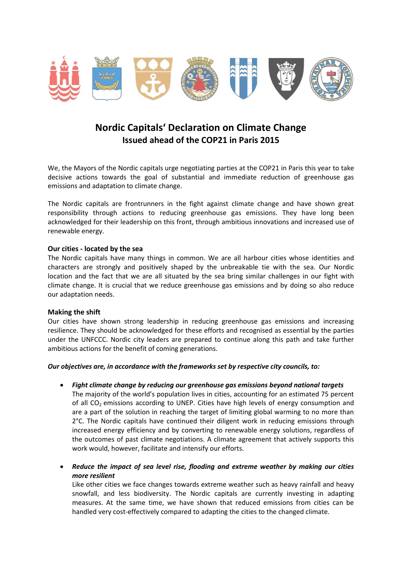

# **Nordic Capitals' Declaration on Climate Change Issued ahead of the COP21 in Paris 2015**

We, the Mayors of the Nordic capitals urge negotiating parties at the COP21 in Paris this year to take decisive actions towards the goal of substantial and immediate reduction of greenhouse gas emissions and adaptation to climate change.

The Nordic capitals are frontrunners in the fight against climate change and have shown great responsibility through actions to reducing greenhouse gas emissions. They have long been acknowledged for their leadership on this front, through ambitious innovations and increased use of renewable energy.

## **Our cities - located by the sea**

The Nordic capitals have many things in common. We are all harbour cities whose identities and characters are strongly and positively shaped by the unbreakable tie with the sea. Our Nordic location and the fact that we are all situated by the sea bring similar challenges in our fight with climate change. It is crucial that we reduce greenhouse gas emissions and by doing so also reduce our adaptation needs.

#### **Making the shift**

Our cities have shown strong leadership in reducing greenhouse gas emissions and increasing resilience. They should be acknowledged for these efforts and recognised as essential by the parties under the UNFCCC. Nordic city leaders are prepared to continue along this path and take further ambitious actions for the benefit of coming generations.

#### *Our objectives are, in accordance with the frameworks set by respective city councils, to:*

- *Fight climate change by reducing our greenhouse gas emissions beyond national targets* The majority of the world's population lives in cities, accounting for an estimated 75 percent of all  $CO<sub>2</sub>$  emissions according to UNEP. Cities have high levels of energy consumption and are a part of the solution in reaching the target of limiting global warming to no more than 2°C. The Nordic capitals have continued their diligent work in reducing emissions through increased energy efficiency and by converting to renewable energy solutions, regardless of the outcomes of past climate negotiations. A climate agreement that actively supports this work would, however, facilitate and intensify our efforts.
- *Reduce the impact of sea level rise, flooding and extreme weather by making our cities more resilient*

Like other cities we face changes towards extreme weather such as heavy rainfall and heavy snowfall, and less biodiversity. The Nordic capitals are currently investing in adapting measures. At the same time, we have shown that reduced emissions from cities can be handled very cost-effectively compared to adapting the cities to the changed climate.